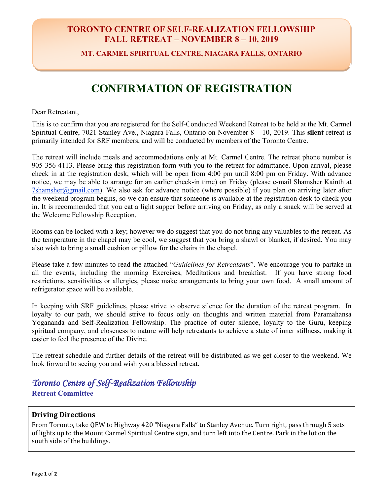### **TORONTO CENTRE OF SELF-REALIZATION FELLOWSHIP FALL RETREAT – NOVEMBER 8 – 10, 2019**

**MT. CARMEL SPIRITUAL CENTRE, NIAGARA FALLS, ONTARIO**

## **CONFIRMATION OF REGISTRATION**

Dear Retreatant,

This is to confirm that you are registered for the Self-Conducted Weekend Retreat to be held at the Mt. Carmel Spiritual Centre, 7021 Stanley Ave., Niagara Falls, Ontario on November 8 – 10, 2019. This **silent** retreat is primarily intended for SRF members, and will be conducted by members of the Toronto Centre.

The retreat will include meals and accommodations only at Mt. Carmel Centre. The retreat phone number is 905-356-4113. Please bring this registration form with you to the retreat for admittance. Upon arrival, please check in at the registration desk, which will be open from 4:00 pm until 8:00 pm on Friday. With advance notice, we may be able to arrange for an earlier check-in time) on Friday (please e-mail Shamsher Kainth at 7shamsher@gmail.com). We also ask for advance notice (where possible) if you plan on arriving later after the weekend program begins, so we can ensure that someone is available at the registration desk to check you in. It is recommended that you eat a light supper before arriving on Friday, as only a snack will be served at the Welcome Fellowship Reception.

Rooms can be locked with a key; however we do suggest that you do not bring any valuables to the retreat. As the temperature in the chapel may be cool, we suggest that you bring a shawl or blanket, if desired. You may also wish to bring a small cushion or pillow for the chairs in the chapel.

Please take a few minutes to read the attached "*Guidelines for Retreatants*". We encourage you to partake in all the events, including the morning Exercises, Meditations and breakfast. If you have strong food restrictions, sensitivities or allergies, please make arrangements to bring your own food. A small amount of refrigerator space will be available.

In keeping with SRF guidelines, please strive to observe silence for the duration of the retreat program. In loyalty to our path, we should strive to focus only on thoughts and written material from Paramahansa Yogananda and Self-Realization Fellowship. The practice of outer silence, loyalty to the Guru, keeping spiritual company, and closeness to nature will help retreatants to achieve a state of inner stillness, making it easier to feel the presence of the Divine.

The retreat schedule and further details of the retreat will be distributed as we get closer to the weekend. We look forward to seeing you and wish you a blessed retreat.

### *Toronto Centre of Self-Realization Fellowship*  **Retreat Committee**

#### **Driving Directions**

From Toronto, take QEW to Highway 420 "Niagara Falls" to Stanley Avenue. Turn right, pass through 5 sets of lights up to the Mount Carmel Spiritual Centre sign, and turn left into the Centre. Park in the lot on the south side of the buildings.